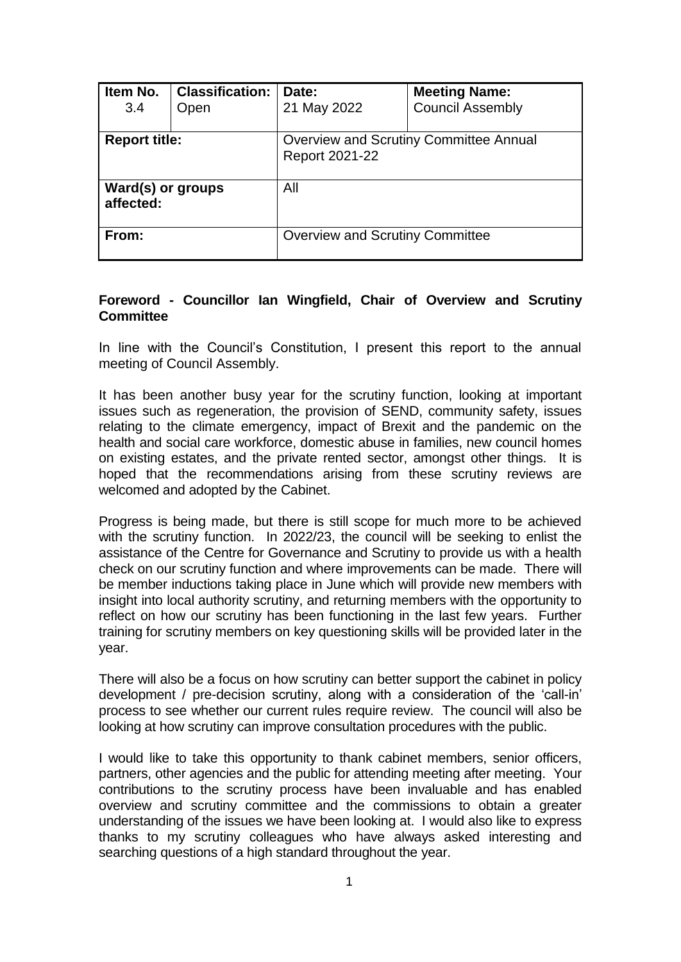| Item No.<br>3.4                | <b>Classification:</b><br>Open | Date:<br>21 May 2022                                            | <b>Meeting Name:</b><br><b>Council Assembly</b> |
|--------------------------------|--------------------------------|-----------------------------------------------------------------|-------------------------------------------------|
| <b>Report title:</b>           |                                | <b>Overview and Scrutiny Committee Annual</b><br>Report 2021-22 |                                                 |
| Ward(s) or groups<br>affected: |                                | All                                                             |                                                 |
| From:                          |                                | <b>Overview and Scrutiny Committee</b>                          |                                                 |

## **Foreword - Councillor Ian Wingfield, Chair of Overview and Scrutiny Committee**

In line with the Council's Constitution, I present this report to the annual meeting of Council Assembly.

It has been another busy year for the scrutiny function, looking at important issues such as regeneration, the provision of SEND, community safety, issues relating to the climate emergency, impact of Brexit and the pandemic on the health and social care workforce, domestic abuse in families, new council homes on existing estates, and the private rented sector, amongst other things. It is hoped that the recommendations arising from these scrutiny reviews are welcomed and adopted by the Cabinet.

Progress is being made, but there is still scope for much more to be achieved with the scrutiny function. In 2022/23, the council will be seeking to enlist the assistance of the Centre for Governance and Scrutiny to provide us with a health check on our scrutiny function and where improvements can be made. There will be member inductions taking place in June which will provide new members with insight into local authority scrutiny, and returning members with the opportunity to reflect on how our scrutiny has been functioning in the last few years. Further training for scrutiny members on key questioning skills will be provided later in the year.

There will also be a focus on how scrutiny can better support the cabinet in policy development / pre-decision scrutiny, along with a consideration of the 'call-in' process to see whether our current rules require review. The council will also be looking at how scrutiny can improve consultation procedures with the public.

I would like to take this opportunity to thank cabinet members, senior officers, partners, other agencies and the public for attending meeting after meeting. Your contributions to the scrutiny process have been invaluable and has enabled overview and scrutiny committee and the commissions to obtain a greater understanding of the issues we have been looking at. I would also like to express thanks to my scrutiny colleagues who have always asked interesting and searching questions of a high standard throughout the year.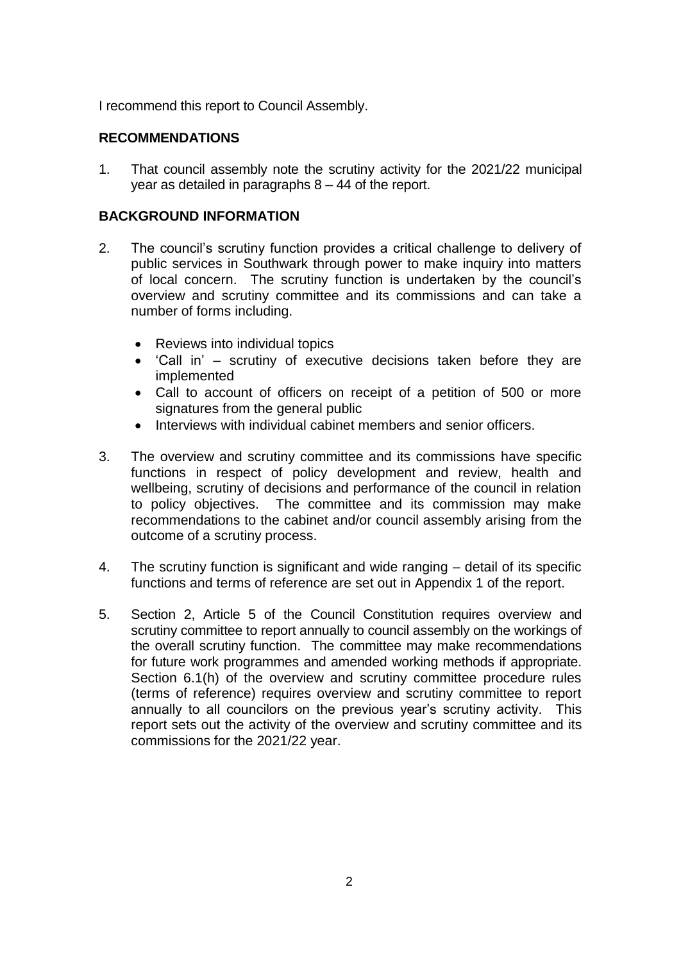I recommend this report to Council Assembly.

# **RECOMMENDATIONS**

1. That council assembly note the scrutiny activity for the 2021/22 municipal year as detailed in paragraphs 8 – 44 of the report.

## **BACKGROUND INFORMATION**

- 2. The council's scrutiny function provides a critical challenge to delivery of public services in Southwark through power to make inquiry into matters of local concern. The scrutiny function is undertaken by the council's overview and scrutiny committee and its commissions and can take a number of forms including.
	- Reviews into individual topics
	- 'Call in' scrutiny of executive decisions taken before they are implemented
	- Call to account of officers on receipt of a petition of 500 or more signatures from the general public
	- Interviews with individual cabinet members and senior officers.
- 3. The overview and scrutiny committee and its commissions have specific functions in respect of policy development and review, health and wellbeing, scrutiny of decisions and performance of the council in relation to policy objectives. The committee and its commission may make recommendations to the cabinet and/or council assembly arising from the outcome of a scrutiny process.
- 4. The scrutiny function is significant and wide ranging detail of its specific functions and terms of reference are set out in Appendix 1 of the report.
- 5. Section 2, Article 5 of the Council Constitution requires overview and scrutiny committee to report annually to council assembly on the workings of the overall scrutiny function. The committee may make recommendations for future work programmes and amended working methods if appropriate. Section 6.1(h) of the overview and scrutiny committee procedure rules (terms of reference) requires overview and scrutiny committee to report annually to all councilors on the previous year's scrutiny activity. This report sets out the activity of the overview and scrutiny committee and its commissions for the 2021/22 year.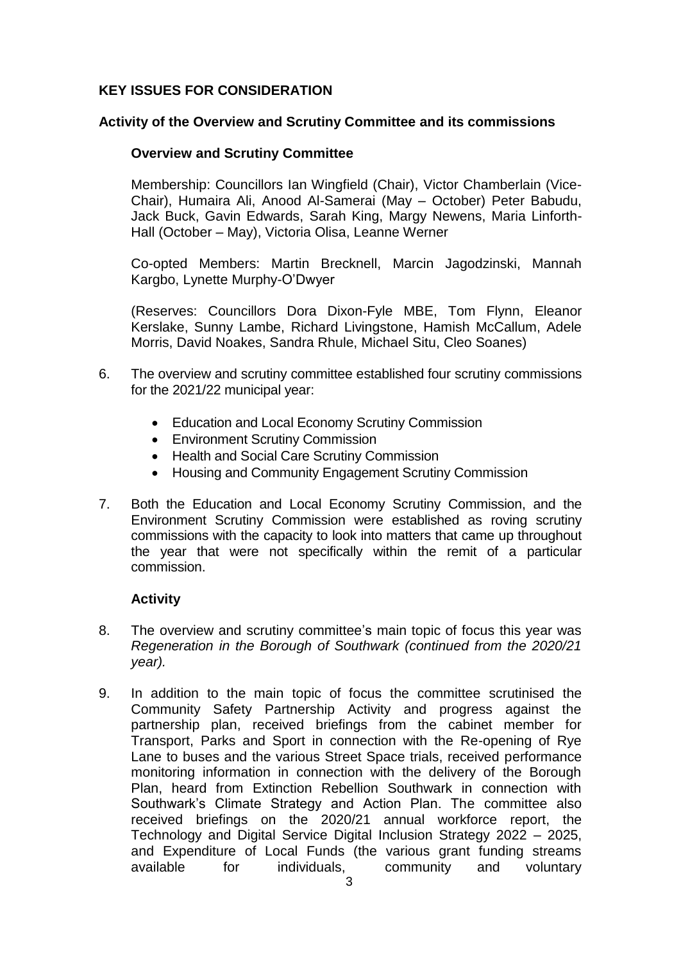# **KEY ISSUES FOR CONSIDERATION**

#### **Activity of the Overview and Scrutiny Committee and its commissions**

## **Overview and Scrutiny Committee**

Membership: Councillors Ian Wingfield (Chair), Victor Chamberlain (Vice-Chair), Humaira Ali, Anood Al-Samerai (May – October) Peter Babudu, Jack Buck, Gavin Edwards, Sarah King, Margy Newens, Maria Linforth-Hall (October – May), Victoria Olisa, Leanne Werner

Co-opted Members: Martin Brecknell, Marcin Jagodzinski, Mannah Kargbo, Lynette Murphy-O'Dwyer

(Reserves: Councillors Dora Dixon-Fyle MBE, Tom Flynn, Eleanor Kerslake, Sunny Lambe, Richard Livingstone, Hamish McCallum, Adele Morris, David Noakes, Sandra Rhule, Michael Situ, Cleo Soanes)

- 6. The overview and scrutiny committee established four scrutiny commissions for the 2021/22 municipal year:
	- Education and Local Economy Scrutiny Commission
	- Environment Scrutiny Commission
	- Health and Social Care Scrutiny Commission
	- Housing and Community Engagement Scrutiny Commission
- 7. Both the Education and Local Economy Scrutiny Commission, and the Environment Scrutiny Commission were established as roving scrutiny commissions with the capacity to look into matters that came up throughout the year that were not specifically within the remit of a particular commission.

# **Activity**

- 8. The overview and scrutiny committee's main topic of focus this year was *Regeneration in the Borough of Southwark (continued from the 2020/21 year).*
- 9. In addition to the main topic of focus the committee scrutinised the Community Safety Partnership Activity and progress against the partnership plan, received briefings from the cabinet member for Transport, Parks and Sport in connection with the Re-opening of Rye Lane to buses and the various Street Space trials, received performance monitoring information in connection with the delivery of the Borough Plan, heard from Extinction Rebellion Southwark in connection with Southwark's Climate Strategy and Action Plan. The committee also received briefings on the 2020/21 annual workforce report, the Technology and Digital Service Digital Inclusion Strategy 2022 – 2025, and Expenditure of Local Funds (the various grant funding streams available for individuals, community and voluntary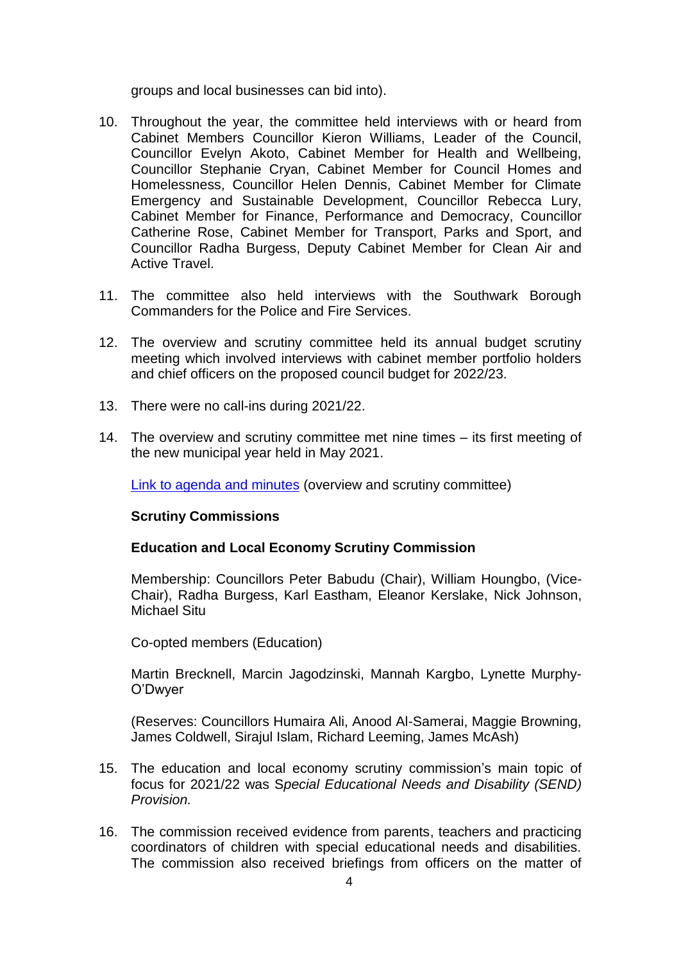groups and local businesses can bid into).

- 10. Throughout the year, the committee held interviews with or heard from Cabinet Members Councillor Kieron Williams, Leader of the Council, Councillor Evelyn Akoto, Cabinet Member for Health and Wellbeing, Councillor Stephanie Cryan, Cabinet Member for Council Homes and Homelessness, Councillor Helen Dennis, Cabinet Member for Climate Emergency and Sustainable Development, Councillor Rebecca Lury, Cabinet Member for Finance, Performance and Democracy, Councillor Catherine Rose, Cabinet Member for Transport, Parks and Sport, and Councillor Radha Burgess, Deputy Cabinet Member for Clean Air and Active Travel.
- 11. The committee also held interviews with the Southwark Borough Commanders for the Police and Fire Services.
- 12. The overview and scrutiny committee held its annual budget scrutiny meeting which involved interviews with cabinet member portfolio holders and chief officers on the proposed council budget for 2022/23.
- 13. There were no call-ins during 2021/22.
- 14. The overview and scrutiny committee met nine times its first meeting of the new municipal year held in May 2021.

[Link to agenda and minutes](http://moderngov.southwark.gov.uk/ieListMeetings.aspx?CommitteeId=308) (overview and scrutiny committee)

#### **Scrutiny Commissions**

#### **Education and Local Economy Scrutiny Commission**

Membership: Councillors Peter Babudu (Chair), William Houngbo, (Vice-Chair), Radha Burgess, Karl Eastham, Eleanor Kerslake, Nick Johnson, Michael Situ

Co-opted members (Education)

Martin Brecknell, Marcin Jagodzinski, Mannah Kargbo, Lynette Murphy-O'Dwyer

(Reserves: Councillors Humaira Ali, Anood Al-Samerai, Maggie Browning, James Coldwell, Sirajul Islam, Richard Leeming, James McAsh)

- 15. The education and local economy scrutiny commission's main topic of focus for 2021/22 was S*pecial Educational Needs and Disability (SEND) Provision.*
- 16. The commission received evidence from parents, teachers and practicing coordinators of children with special educational needs and disabilities. The commission also received briefings from officers on the matter of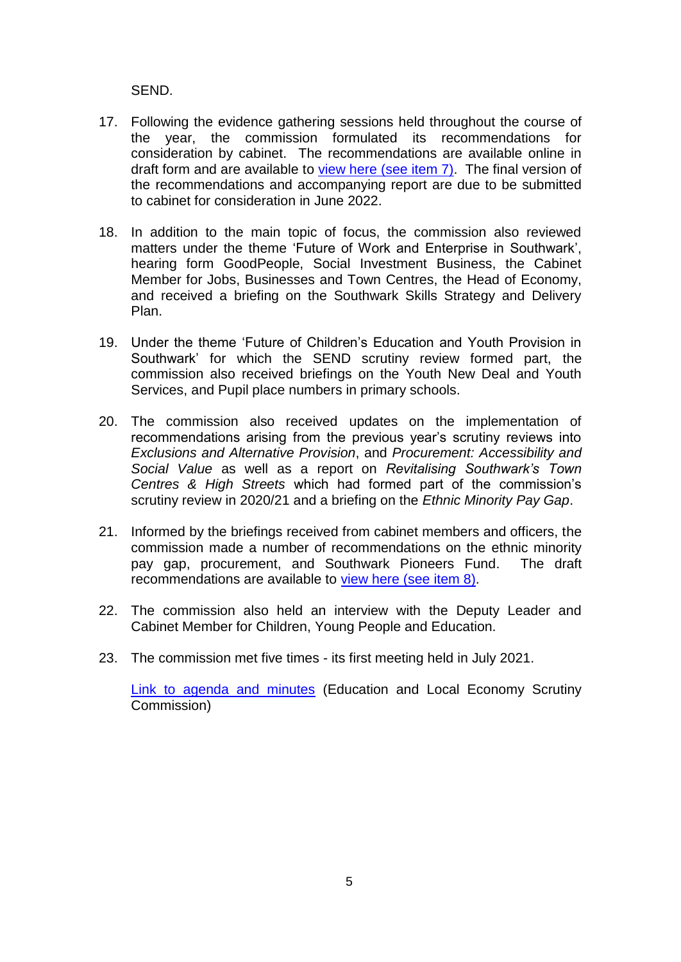SEND.

- 17. Following the evidence gathering sessions held throughout the course of the year, the commission formulated its recommendations for consideration by cabinet. The recommendations are available online in draft form and are available to view here [\(see item 7\).](https://moderngov.southwark.gov.uk/ieListDocuments.aspx?CId=550&MId=7012&Ver=4) The final version of the recommendations and accompanying report are due to be submitted to cabinet for consideration in June 2022.
- 18. In addition to the main topic of focus, the commission also reviewed matters under the theme 'Future of Work and Enterprise in Southwark', hearing form GoodPeople, Social Investment Business, the Cabinet Member for Jobs, Businesses and Town Centres, the Head of Economy, and received a briefing on the Southwark Skills Strategy and Delivery Plan.
- 19. Under the theme 'Future of Children's Education and Youth Provision in Southwark' for which the SEND scrutiny review formed part, the commission also received briefings on the Youth New Deal and Youth Services, and Pupil place numbers in primary schools.
- 20. The commission also received updates on the implementation of recommendations arising from the previous year's scrutiny reviews into *Exclusions and Alternative Provision*, and *Procurement: Accessibility and Social Value* as well as a report on *Revitalising Southwark's Town Centres & High Streets* which had formed part of the commission's scrutiny review in 2020/21 and a briefing on the *Ethnic Minority Pay Gap*.
- 21. Informed by the briefings received from cabinet members and officers, the commission made a number of recommendations on the ethnic minority pay gap, procurement, and Southwark Pioneers Fund. The draft recommendations are available to [view here \(see item 8\).](https://moderngov.southwark.gov.uk/ieListDocuments.aspx?CId=550&MId=7012&Ver=4)
- 22. The commission also held an interview with the Deputy Leader and Cabinet Member for Children, Young People and Education.
- 23. The commission met five times its first meeting held in July 2021.

[Link to agenda and minutes](https://moderngov.southwark.gov.uk/ieListMeetings.aspx?CommitteeId=550) (Education and Local Economy Scrutiny Commission)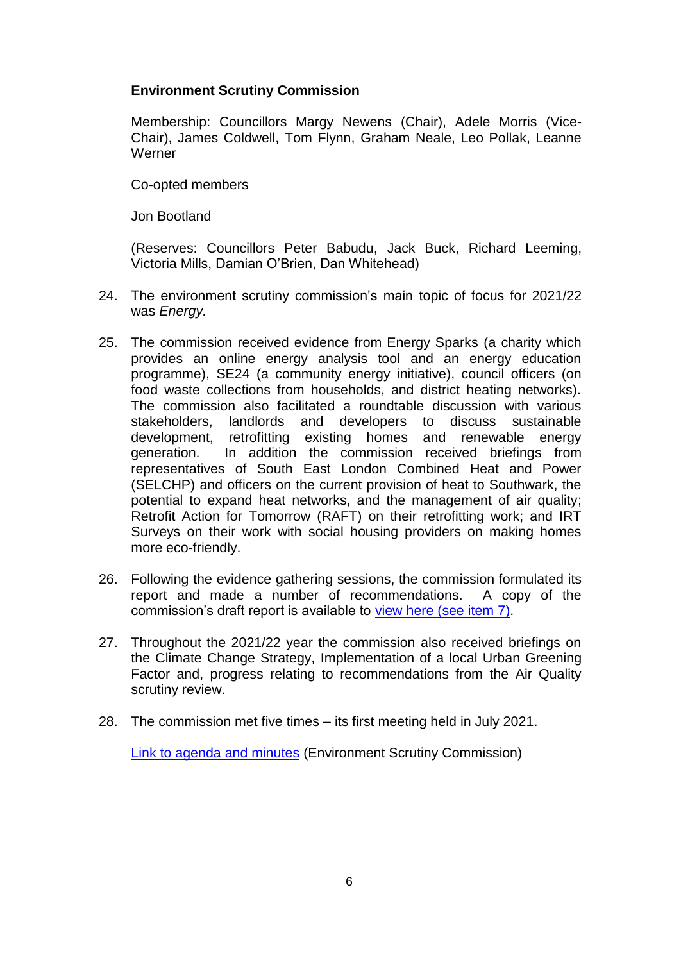# **Environment Scrutiny Commission**

Membership: Councillors Margy Newens (Chair), Adele Morris (Vice-Chair), James Coldwell, Tom Flynn, Graham Neale, Leo Pollak, Leanne **Werner** 

Co-opted members

Jon Bootland

(Reserves: Councillors Peter Babudu, Jack Buck, Richard Leeming, Victoria Mills, Damian O'Brien, Dan Whitehead)

- 24. The environment scrutiny commission's main topic of focus for 2021/22 was *Energy.*
- 25. The commission received evidence from Energy Sparks (a charity which provides an online energy analysis tool and an energy education programme), SE24 (a community energy initiative), council officers (on food waste collections from households, and district heating networks). The commission also facilitated a roundtable discussion with various stakeholders, landlords and developers to discuss sustainable development, retrofitting existing homes and renewable energy generation. In addition the commission received briefings from representatives of South East London Combined Heat and Power (SELCHP) and officers on the current provision of heat to Southwark, the potential to expand heat networks, and the management of air quality; Retrofit Action for Tomorrow (RAFT) on their retrofitting work; and IRT Surveys on their work with social housing providers on making homes more eco-friendly.
- 26. Following the evidence gathering sessions, the commission formulated its report and made a number of recommendations. A copy of the commission's draft report is available to [view here \(see item 7\).](https://moderngov.southwark.gov.uk/ieListDocuments.aspx?CId=517&MId=7036&Ver=4)
- 27. Throughout the 2021/22 year the commission also received briefings on the Climate Change Strategy, Implementation of a local Urban Greening Factor and, progress relating to recommendations from the Air Quality scrutiny review.
- 28. The commission met five times its first meeting held in July 2021.

[Link to agenda and minutes](http://moderngov.southwark.gov.uk/ieListMeetings.aspx?CommitteeId=517) (Environment Scrutiny Commission)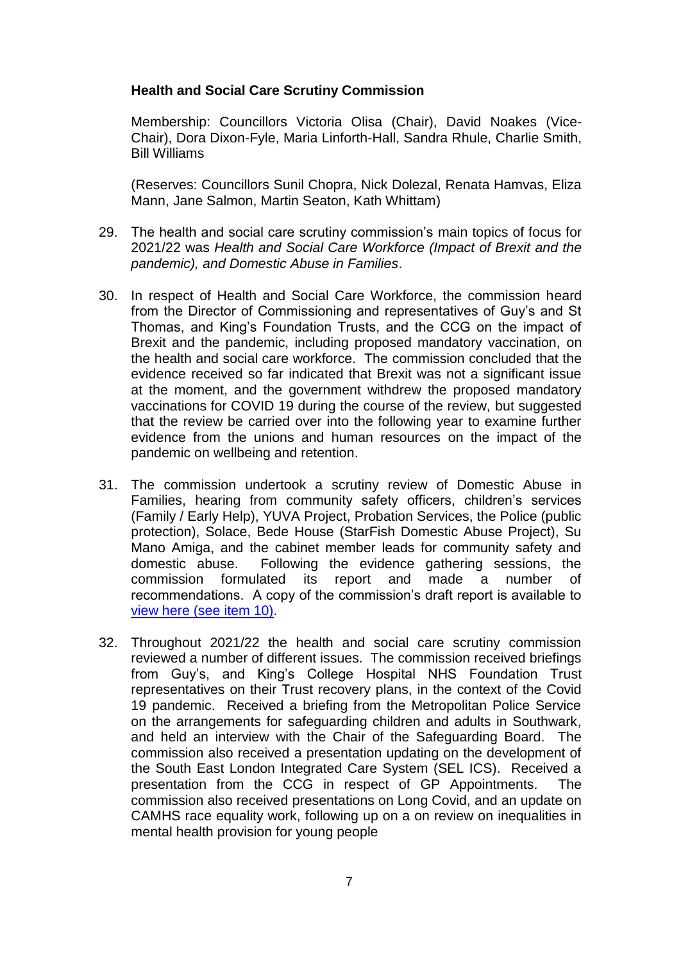## **Health and Social Care Scrutiny Commission**

Membership: Councillors Victoria Olisa (Chair), David Noakes (Vice-Chair), Dora Dixon-Fyle, Maria Linforth-Hall, Sandra Rhule, Charlie Smith, Bill Williams

(Reserves: Councillors Sunil Chopra, Nick Dolezal, Renata Hamvas, Eliza Mann, Jane Salmon, Martin Seaton, Kath Whittam)

- 29. The health and social care scrutiny commission's main topics of focus for 2021/22 was *Health and Social Care Workforce (Impact of Brexit and the pandemic), and Domestic Abuse in Families*.
- 30. In respect of Health and Social Care Workforce, the commission heard from the Director of Commissioning and representatives of Guy's and St Thomas, and King's Foundation Trusts, and the CCG on the impact of Brexit and the pandemic, including proposed mandatory vaccination, on the health and social care workforce. The commission concluded that the evidence received so far indicated that Brexit was not a significant issue at the moment, and the government withdrew the proposed mandatory vaccinations for COVID 19 during the course of the review, but suggested that the review be carried over into the following year to examine further evidence from the unions and human resources on the impact of the pandemic on wellbeing and retention.
- 31. The commission undertook a scrutiny review of Domestic Abuse in Families, hearing from community safety officers, children's services (Family / Early Help), YUVA Project, Probation Services, the Police (public protection), Solace, Bede House (StarFish Domestic Abuse Project), Su Mano Amiga, and the cabinet member leads for community safety and domestic abuse. Following the evidence gathering sessions, the commission formulated its report and made a number of recommendations. A copy of the commission's draft report is available to [view here \(see item 10\).](https://moderngov.southwark.gov.uk/ieListDocuments.aspx?CId=519&MId=7026&Ver=4)
- 32. Throughout 2021/22 the health and social care scrutiny commission reviewed a number of different issues. The commission received briefings from Guy's, and King's College Hospital NHS Foundation Trust representatives on their Trust recovery plans, in the context of the Covid 19 pandemic. Received a briefing from the Metropolitan Police Service on the arrangements for safeguarding children and adults in Southwark, and held an interview with the Chair of the Safeguarding Board. The commission also received a presentation updating on the development of the South East London Integrated Care System (SEL ICS). Received a presentation from the CCG in respect of GP Appointments. The commission also received presentations on Long Covid, and an update on CAMHS race equality work, following up on a on review on inequalities in mental health provision for young people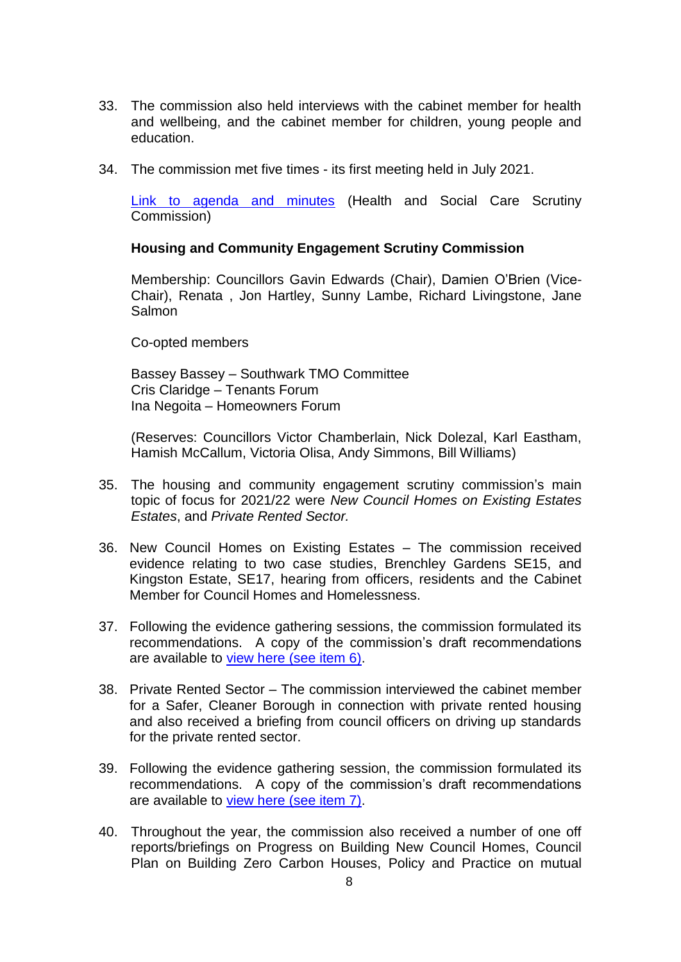- 33. The commission also held interviews with the cabinet member for health and wellbeing, and the cabinet member for children, young people and education.
- 34. The commission met five times its first meeting held in July 2021.

[Link to agenda and minutes](http://moderngov.southwark.gov.uk/ieListMeetings.aspx?CommitteeId=519) (Health and Social Care Scrutiny Commission)

#### **Housing and Community Engagement Scrutiny Commission**

Membership: Councillors Gavin Edwards (Chair), Damien O'Brien (Vice-Chair), Renata , Jon Hartley, Sunny Lambe, Richard Livingstone, Jane Salmon

Co-opted members

Bassey Bassey – Southwark TMO Committee Cris Claridge – Tenants Forum Ina Negoita – Homeowners Forum

(Reserves: Councillors Victor Chamberlain, Nick Dolezal, Karl Eastham, Hamish McCallum, Victoria Olisa, Andy Simmons, Bill Williams)

- 35. The housing and community engagement scrutiny commission's main topic of focus for 2021/22 were *New Council Homes on Existing Estates Estates*, and *Private Rented Sector.*
- 36. New Council Homes on Existing Estates The commission received evidence relating to two case studies, Brenchley Gardens SE15, and Kingston Estate, SE17, hearing from officers, residents and the Cabinet Member for Council Homes and Homelessness.
- 37. Following the evidence gathering sessions, the commission formulated its recommendations. A copy of the commission's draft recommendations are available to [view here \(see item 6\).](https://moderngov.southwark.gov.uk/ieListDocuments.aspx?CId=551&MId=7031&Ver=4)
- 38. Private Rented Sector The commission interviewed the cabinet member for a Safer, Cleaner Borough in connection with private rented housing and also received a briefing from council officers on driving up standards for the private rented sector.
- 39. Following the evidence gathering session, the commission formulated its recommendations. A copy of the commission's draft recommendations are available to [view here \(see item 7\).](https://moderngov.southwark.gov.uk/ieListDocuments.aspx?CId=551&MId=7031&Ver=4)
- 40. Throughout the year, the commission also received a number of one off reports/briefings on Progress on Building New Council Homes, Council Plan on Building Zero Carbon Houses, Policy and Practice on mutual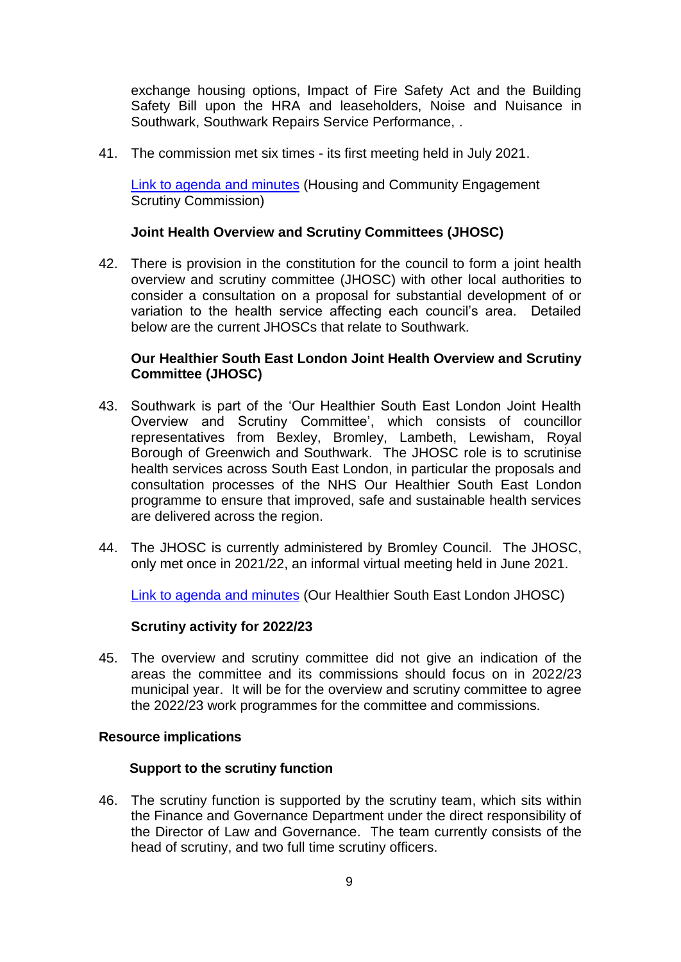exchange housing options, Impact of Fire Safety Act and the Building Safety Bill upon the HRA and leaseholders, Noise and Nuisance in Southwark, Southwark Repairs Service Performance, .

41. The commission met six times - its first meeting held in July 2021.

[Link to agenda and minutes](https://moderngov.southwark.gov.uk/ieListMeetings.aspx?CommitteeId=551) (Housing and Community Engagement Scrutiny Commission)

## **Joint Health Overview and Scrutiny Committees (JHOSC)**

42. There is provision in the constitution for the council to form a joint health overview and scrutiny committee (JHOSC) with other local authorities to consider a consultation on a proposal for substantial development of or variation to the health service affecting each council's area. Detailed below are the current JHOSCs that relate to Southwark.

## **Our Healthier South East London Joint Health Overview and Scrutiny Committee (JHOSC)**

- 43. Southwark is part of the 'Our Healthier South East London Joint Health Overview and Scrutiny Committee', which consists of councillor representatives from Bexley, Bromley, Lambeth, Lewisham, Royal Borough of Greenwich and Southwark. The JHOSC role is to scrutinise health services across South East London, in particular the proposals and consultation processes of the NHS Our Healthier South East London programme to ensure that improved, safe and sustainable health services are delivered across the region.
- 44. The JHOSC is currently administered by Bromley Council. The JHOSC, only met once in 2021/22, an informal virtual meeting held in June 2021.

[Link to agenda and minutes](https://cds.bromley.gov.uk/ieListMeetings.aspx?CId=714&Year=0) (Our Healthier South East London JHOSC)

#### **Scrutiny activity for 2022/23**

45. The overview and scrutiny committee did not give an indication of the areas the committee and its commissions should focus on in 2022/23 municipal year. It will be for the overview and scrutiny committee to agree the 2022/23 work programmes for the committee and commissions.

#### **Resource implications**

#### **Support to the scrutiny function**

46. The scrutiny function is supported by the scrutiny team, which sits within the Finance and Governance Department under the direct responsibility of the Director of Law and Governance. The team currently consists of the head of scrutiny, and two full time scrutiny officers.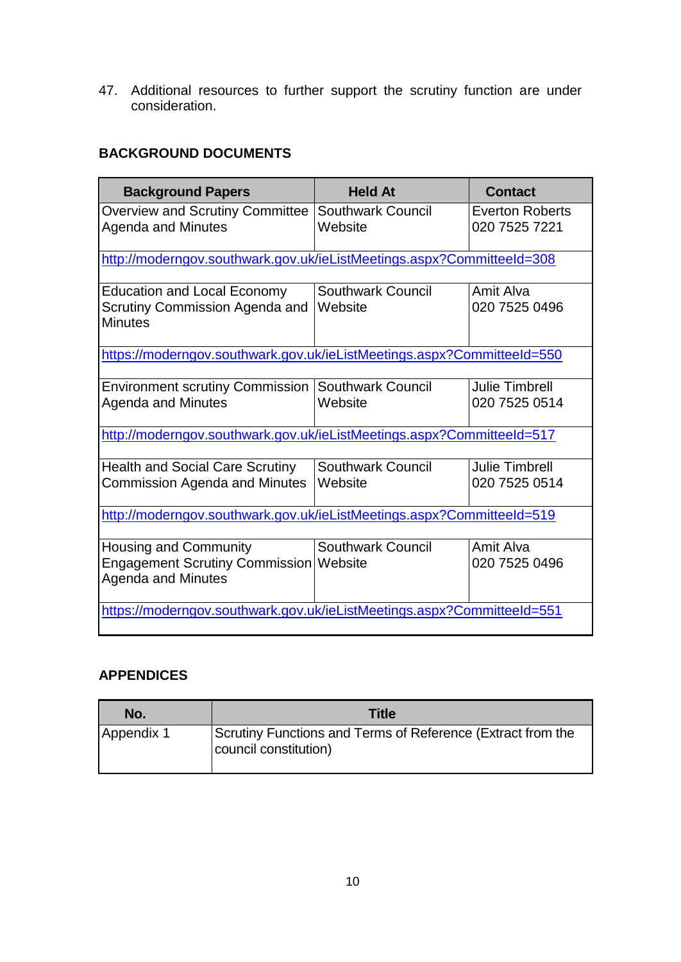47. Additional resources to further support the scrutiny function are under consideration.

# **BACKGROUND DOCUMENTS**

| <b>Background Papers</b>                                                                            | <b>Held At</b>                      | <b>Contact</b>                          |  |  |  |  |
|-----------------------------------------------------------------------------------------------------|-------------------------------------|-----------------------------------------|--|--|--|--|
| <b>Overview and Scrutiny Committee</b><br><b>Agenda and Minutes</b>                                 | <b>Southwark Council</b><br>Website | <b>Everton Roberts</b><br>020 7525 7221 |  |  |  |  |
| http://moderngov.southwark.gov.uk/ieListMeetings.aspx?CommitteeId=308                               |                                     |                                         |  |  |  |  |
| <b>Education and Local Economy</b><br>Scrutiny Commission Agenda and<br><b>Minutes</b>              | <b>Southwark Council</b><br>Website | Amit Alva<br>020 7525 0496              |  |  |  |  |
| https://moderngov.southwark.gov.uk/ieListMeetings.aspx?CommitteeId=550                              |                                     |                                         |  |  |  |  |
| <b>Environment scrutiny Commission</b><br><b>Agenda and Minutes</b>                                 | <b>Southwark Council</b><br>Website | <b>Julie Timbrell</b><br>020 7525 0514  |  |  |  |  |
| http://moderngov.southwark.gov.uk/ieListMeetings.aspx?CommitteeId=517                               |                                     |                                         |  |  |  |  |
| <b>Health and Social Care Scrutiny</b><br><b>Commission Agenda and Minutes</b>                      | <b>Southwark Council</b><br>Website | <b>Julie Timbrell</b><br>020 7525 0514  |  |  |  |  |
| http://moderngov.southwark.gov.uk/ieListMeetings.aspx?CommitteeId=519                               |                                     |                                         |  |  |  |  |
| <b>Housing and Community</b><br>Engagement Scrutiny Commission Website<br><b>Agenda and Minutes</b> | <b>Southwark Council</b>            | Amit Alva<br>020 7525 0496              |  |  |  |  |
| https://moderngov.southwark.gov.uk/ieListMeetings.aspx?CommitteeId=551                              |                                     |                                         |  |  |  |  |

# **APPENDICES**

| No.        | <b>Title</b>                                                                         |
|------------|--------------------------------------------------------------------------------------|
| Appendix 1 | Scrutiny Functions and Terms of Reference (Extract from the<br>council constitution) |